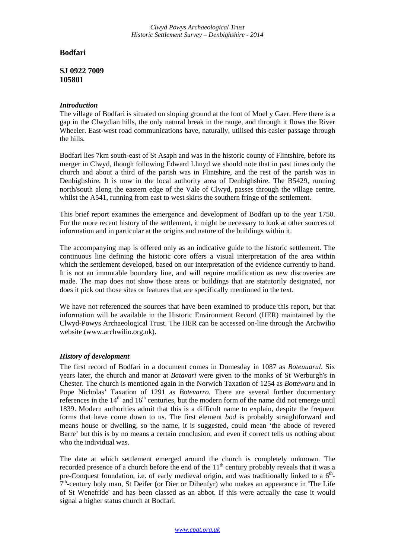*Clwyd Powys Archaeological Trust Historic Settlement Survey – Denbighshire - 2014*

# **Bodfari**

## **SJ 0922 7009 105801**

### *Introduction*

The village of Bodfari is situated on sloping ground at the foot of Moel y Gaer. Here there is a gap in the Clwydian hills, the only natural break in the range, and through it flows the River Wheeler. East-west road communications have, naturally, utilised this easier passage through the hills.

Bodfari lies 7km south-east of St Asaph and was in the historic county of Flintshire, before its merger in Clwyd, though following Edward Lhuyd we should note that in past times only the church and about a third of the parish was in Flintshire, and the rest of the parish was in Denbighshire. It is now in the local authority area of Denbighshire. The B5429, running north/south along the eastern edge of the Vale of Clwyd, passes through the village centre, whilst the A541, running from east to west skirts the southern fringe of the settlement.

This brief report examines the emergence and development of Bodfari up to the year 1750. For the more recent history of the settlement, it might be necessary to look at other sources of information and in particular at the origins and nature of the buildings within it.

The accompanying map is offered only as an indicative guide to the historic settlement. The continuous line defining the historic core offers a visual interpretation of the area within which the settlement developed, based on our interpretation of the evidence currently to hand. It is not an immutable boundary line, and will require modification as new discoveries are made. The map does not show those areas or buildings that are statutorily designated, nor does it pick out those sites or features that are specifically mentioned in the text.

We have not referenced the sources that have been examined to produce this report, but that information will be available in the Historic Environment Record (HER) maintained by the Clwyd-Powys Archaeological Trust. The HER can be accessed on-line through the Archwilio website (www.archwilio.org.uk).

### *History of development*

The first record of Bodfari in a document comes in Domesday in 1087 as *Boteuuarul*. Six years later, the church and manor at *Batavari* were given to the monks of St Werburgh's in Chester. The church is mentioned again in the Norwich Taxation of 1254 as *Bottewaru* and in Pope Nicholas' Taxation of 1291 as *Botevarro*. There are several further documentary references in the  $14<sup>th</sup>$  and  $16<sup>th</sup>$  centuries, but the modern form of the name did not emerge until 1839. Modern authorities admit that this is a difficult name to explain, despite the frequent forms that have come down to us. The first element *bod* is probably straightforward and means house or dwelling, so the name, it is suggested, could mean 'the abode of revered Barre' but this is by no means a certain conclusion, and even if correct tells us nothing about who the individual was.

The date at which settlement emerged around the church is completely unknown. The recorded presence of a church before the end of the  $11<sup>th</sup>$  century probably reveals that it was a pre-Conquest foundation, i.e. of early medieval origin, and was traditionally linked to a  $6<sup>th</sup>$ - $7<sup>th</sup>$ -century holy man, St Deifer (or Dier or Diheufyr) who makes an appearance in The Life of St Wenefride' and has been classed as an abbot. If this were actually the case it would signal a higher status church at Bodfari.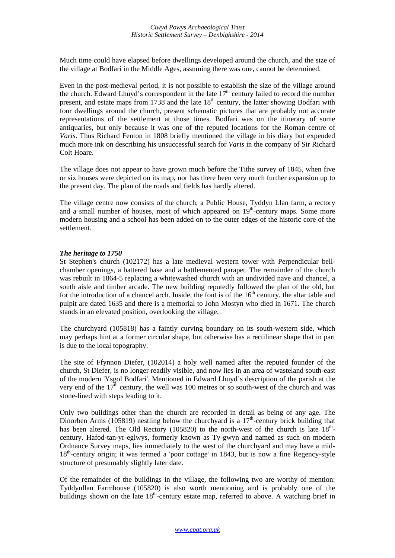Much time could have elapsed before dwellings developed around the church, and the size of the village at Bodfari in the Middle Ages, assuming there was one, cannot be determined.

Even in the post-medieval period, it is not possible to establish the size of the village around the church. Edward Lhuyd's correspondent in the late  $17<sup>th</sup>$  century failed to record the number present, and estate maps from 1738 and the late  $18<sup>th</sup>$  century, the latter showing Bodfari with four dwellings around the church, present schematic pictures that are probably not accurate representations of the settlement at those times. Bodfari was on the itinerary of some antiquaries, but only because it was one of the reputed locations for the Roman centre of *Varis*. Thus Richard Fenton in 1808 briefly mentioned the village in his diary but expended much more ink on describing his unsuccessful search for *Varis* in the company of Sir Richard Colt Hoare.

The village does not appear to have grown much before the Tithe survey of 1845, when five or six houses were depicted on its map, nor has there been very much further expansion up to the present day. The plan of the roads and fields has hardly altered.

The village centre now consists of the church, a Public House, Tyddyn Llan farm, a rectory and a small number of houses, most of which appeared on  $19<sup>th</sup>$ -century maps. Some more modern housing and a school has been added on to the outer edges of the historic core of the settlement.

### *The heritage to 1750*

St Stephen's church (102172) has a late medieval western tower with Perpendicular bellchamber openings, a battered base and a battlemented parapet. The remainder of the church was rebuilt in 1864-5 replacing a whitewashed church with an undivided nave and chancel, a south aisle and timber arcade. The new building reputedly followed the plan of the old, but for the introduction of a chancel arch. Inside, the font is of the  $16<sup>th</sup>$  century, the altar table and pulpit are dated 1635 and there is a memorial to John Mostyn who died in 1671. The church stands in an elevated position, overlooking the village.

The churchyard (105818) has a faintly curving boundary on its south-western side, which may perhaps hint at a former circular shape, but otherwise has a rectilinear shape that in part is due to the local topography.

The site of Ffynnon Diefer, (102014) a holy well named after the reputed founder of the church, St Diefer, is no longer readily visible, and now lies in an area of wasteland south-east of the modern 'Ysgol Bodfari'. Mentioned in Edward Lhuyd's description of the parish at the very end of the  $17<sup>th</sup>$  century, the well was 100 metres or so south-west of the church and was stone-lined with steps leading to it.

Only two buildings other than the church are recorded in detail as being of any age. The Dinorben Arms (105819) nestling below the churchyard is a  $17<sup>th</sup>$ -century brick building that has been altered. The Old Rectory (105820) to the north-west of the church is late  $18<sup>th</sup>$ century. Hafod-tan-yr-eglwys, formerly known as Ty-gwyn and named as such on modern Ordnance Survey maps, lies immediately to the west of the churchyard and may have a mid-18<sup>th</sup>-century origin; it was termed a 'poor cottage' in 1843, but is now a fine Regency-style structure of presumably slightly later date.

Of the remainder of the buildings in the village, the following two are worthy of mention: Tyddynllan Farmhouse (105820) is also worth mentioning and is probably one of the buildings shown on the late  $18<sup>th</sup>$ -century estate map, referred to above. A watching brief in